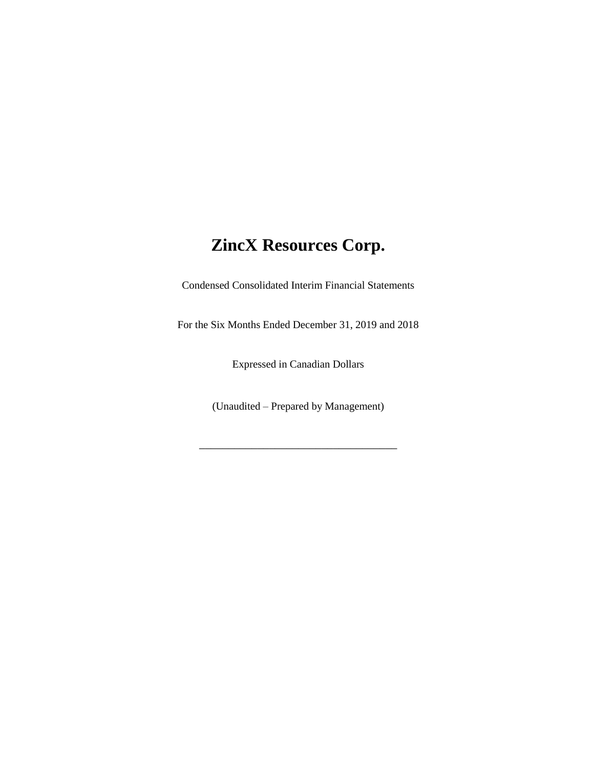Condensed Consolidated Interim Financial Statements

For the Six Months Ended December 31, 2019 and 2018

Expressed in Canadian Dollars

(Unaudited – Prepared by Management)

\_\_\_\_\_\_\_\_\_\_\_\_\_\_\_\_\_\_\_\_\_\_\_\_\_\_\_\_\_\_\_\_\_\_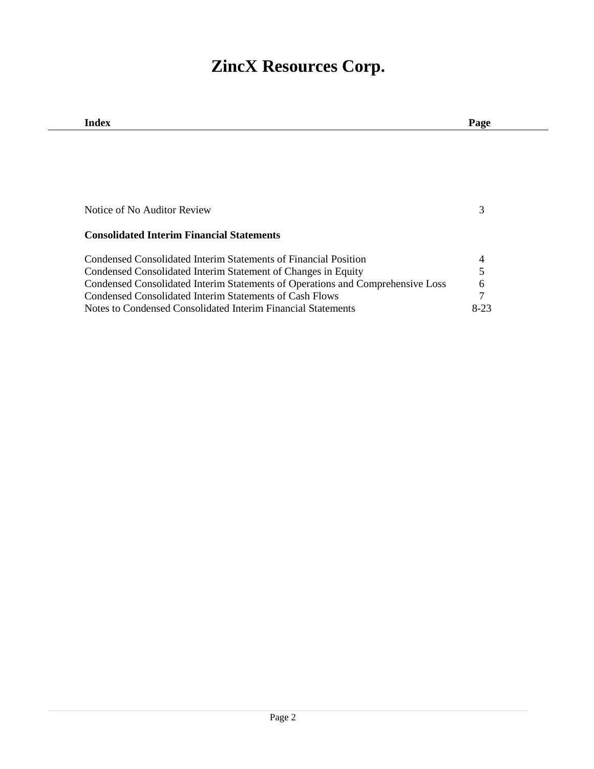| Index                                                                          | Page |
|--------------------------------------------------------------------------------|------|
|                                                                                |      |
|                                                                                |      |
|                                                                                |      |
|                                                                                |      |
|                                                                                |      |
| Notice of No Auditor Review                                                    |      |
|                                                                                |      |
| <b>Consolidated Interim Financial Statements</b>                               |      |
| Condensed Consolidated Interim Statements of Financial Position                |      |
| Condensed Consolidated Interim Statement of Changes in Equity                  |      |
| Condensed Consolidated Interim Statements of Operations and Comprehensive Loss | 6    |
| Condensed Consolidated Interim Statements of Cash Flows                        |      |
| Notes to Condensed Consolidated Interim Financial Statements                   | 8-23 |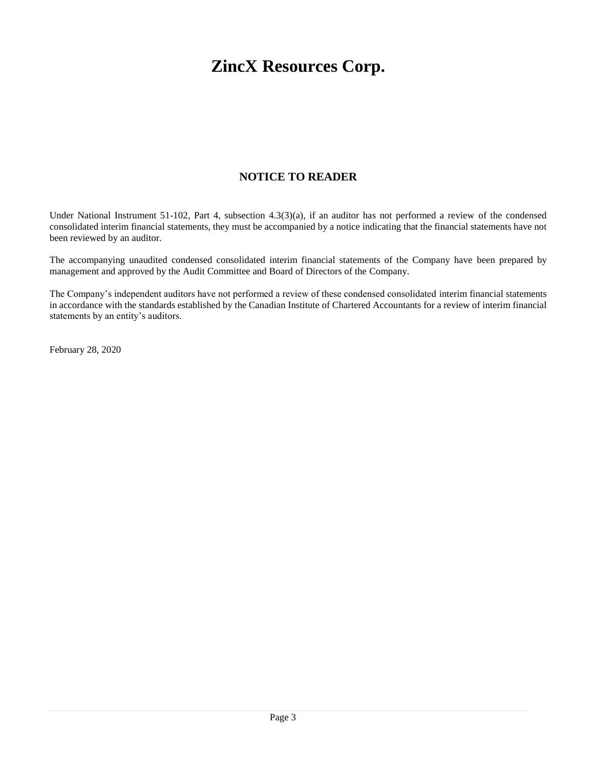# **NOTICE TO READER**

Under National Instrument 51-102, Part 4, subsection 4.3(3)(a), if an auditor has not performed a review of the condensed consolidated interim financial statements, they must be accompanied by a notice indicating that the financial statements have not been reviewed by an auditor.

The accompanying unaudited condensed consolidated interim financial statements of the Company have been prepared by management and approved by the Audit Committee and Board of Directors of the Company.

The Company's independent auditors have not performed a review of these condensed consolidated interim financial statements in accordance with the standards established by the Canadian Institute of Chartered Accountants for a review of interim financial statements by an entity's auditors.

February 28, 2020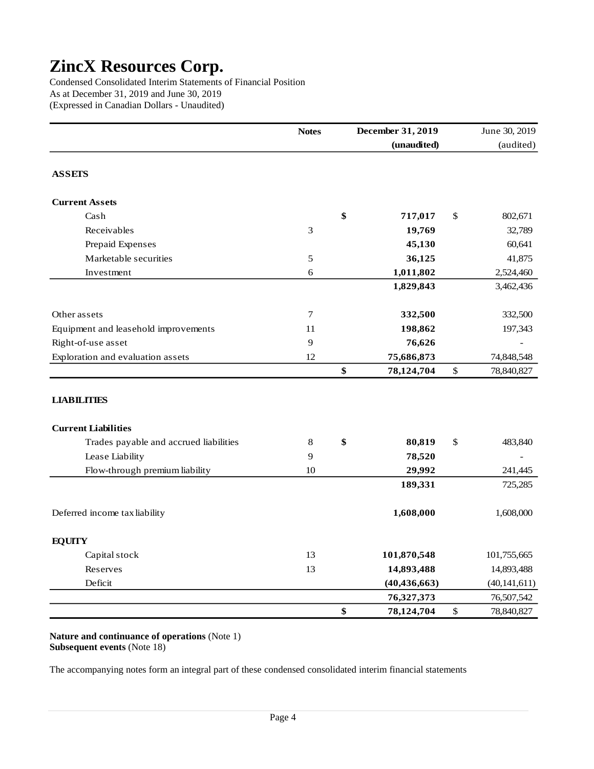Condensed Consolidated Interim Statements of Financial Position As at December 31, 2019 and June 30, 2019 (Expressed in Canadian Dollars - Unaudited)

|                                        | <b>Notes</b> | December 31, 2019 |               | June 30, 2019  |
|----------------------------------------|--------------|-------------------|---------------|----------------|
|                                        |              | (unaudited)       |               | (audited)      |
| <b>ASSETS</b>                          |              |                   |               |                |
| <b>Current Assets</b>                  |              |                   |               |                |
| Cash                                   |              | \$<br>717,017     | $\mathcal{S}$ | 802,671        |
| Receivables                            | 3            | 19,769            |               | 32,789         |
| Prepaid Expenses                       |              | 45,130            |               | 60,641         |
| Marketable securities                  | 5            | 36,125            |               | 41,875         |
| Investment                             | $\sqrt{6}$   | 1,011,802         |               | 2,524,460      |
|                                        |              | 1,829,843         |               | 3,462,436      |
| Other assets                           | 7            | 332,500           |               | 332,500        |
| Equipment and leasehold improvements   | 11           | 198,862           |               | 197,343        |
| Right-of-use asset                     | 9            | 76,626            |               |                |
| Exploration and evaluation assets      | 12           | 75,686,873        |               | 74,848,548     |
|                                        |              | \$<br>78,124,704  | $\$$          | 78,840,827     |
| <b>LIABILITIES</b>                     |              |                   |               |                |
| <b>Current Liabilities</b>             |              |                   |               |                |
| Trades payable and accrued liabilities | $\,8\,$      | \$<br>80,819      | \$            | 483,840        |
| Lease Liability                        | 9            | 78,520            |               |                |
| Flow-through premium liability         | 10           | 29,992            |               | 241,445        |
|                                        |              | 189,331           |               | 725,285        |
| Deferred income tax liability          |              | 1,608,000         |               | 1,608,000      |
| <b>EQUITY</b>                          |              |                   |               |                |
| Capital stock                          | 13           | 101,870,548       |               | 101,755,665    |
| Reserves                               | 13           | 14,893,488        |               | 14,893,488     |
| Deficit                                |              | (40, 436, 663)    |               | (40, 141, 611) |
|                                        |              | 76,327,373        |               | 76,507,542     |
|                                        |              | \$<br>78,124,704  | $\mathbb{S}$  | 78,840,827     |

**Nature and continuance of operations** (Note 1) **Subsequent events** (Note 18)

The accompanying notes form an integral part of these condensed consolidated interim financial statements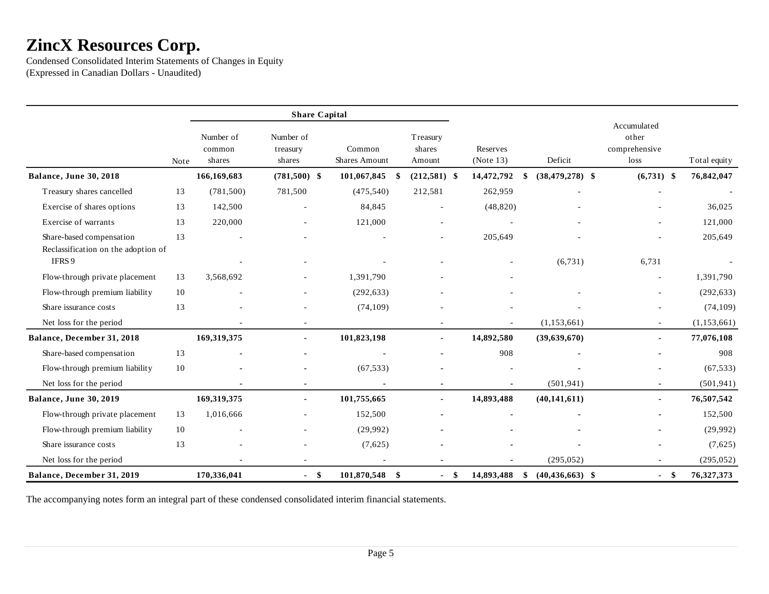Condensed Consolidated Interim Statements of Changes in Equity (Expressed in Canadian Dollars - Unaudited)

|                                                                 |        |                               | <b>Share Capital</b>            |                                |                              |      |                       |                           |                                                   |               |
|-----------------------------------------------------------------|--------|-------------------------------|---------------------------------|--------------------------------|------------------------------|------|-----------------------|---------------------------|---------------------------------------------------|---------------|
|                                                                 | Note   | Number of<br>common<br>shares | Number of<br>treasury<br>shares | Common<br><b>Shares Amount</b> | Treasury<br>shares<br>Amount |      | Reserves<br>(Note 13) | Deficit                   | Accumulated<br>other<br>comprehensive<br>$\log s$ | Total equity  |
| Balance, June 30, 2018                                          |        | 166,169,683                   | $(781,500)$ \$                  | 101,067,845                    | $(212,581)$ \$<br>\$         |      | 14,472,792            | \$<br>$(38, 479, 278)$ \$ | $(6,731)$ \$                                      | 76,842,047    |
| Treasury shares cancelled                                       | 13     | (781, 500)                    | 781,500                         | (475,540)                      | 212,581                      |      | 262,959               |                           |                                                   |               |
| Exercise of shares options                                      | 13     | 142,500                       | ä,                              | 84,845                         | $\blacksquare$               |      | (48, 820)             |                           |                                                   | 36,025        |
| Exercise of warrants                                            | 13     | 220,000                       |                                 | 121,000                        |                              |      |                       |                           |                                                   | 121,000       |
| Share-based compensation<br>Reclassification on the adoption of | 13     |                               |                                 |                                |                              |      | 205,649               |                           |                                                   | 205,649       |
| IFRS 9                                                          |        |                               |                                 |                                |                              |      |                       | (6,731)                   | 6,731                                             |               |
| Flow-through private placement                                  | 13     | 3,568,692                     |                                 | 1,391,790                      |                              |      |                       |                           |                                                   | 1,391,790     |
| Flow-through premium liability                                  | 10     |                               |                                 | (292, 633)                     |                              |      |                       |                           |                                                   | (292, 633)    |
| Share issurance costs                                           | 13     |                               |                                 | (74, 109)                      |                              |      |                       |                           |                                                   | (74, 109)     |
| Net loss for the period                                         |        |                               |                                 |                                |                              |      |                       | (1,153,661)               |                                                   | (1, 153, 661) |
| Balance, December 31, 2018                                      |        | 169,319,375                   | $\blacksquare$                  | 101,823,198                    | $\blacksquare$               |      | 14,892,580            | (39,639,670)              |                                                   | 77,076,108    |
| Share-based compensation                                        | 13     |                               |                                 |                                |                              |      | 908                   |                           |                                                   | 908           |
| Flow-through premium liability                                  | $10\,$ |                               |                                 | (67, 533)                      |                              |      |                       |                           |                                                   | (67, 533)     |
| Net loss for the period                                         |        |                               |                                 |                                |                              |      |                       | (501, 941)                |                                                   | (501, 941)    |
| Balance, June 30, 2019                                          |        | 169,319,375                   | $\blacksquare$                  | 101,755,665                    |                              |      | 14,893,488            | (40, 141, 611)            |                                                   | 76,507,542    |
| Flow-through private placement                                  | 13     | 1,016,666                     |                                 | 152,500                        |                              |      |                       |                           |                                                   | 152,500       |
| Flow-through premium liability                                  | 10     |                               |                                 | (29,992)                       |                              |      |                       |                           |                                                   | (29,992)      |
| Share issurance costs                                           | 13     |                               |                                 | (7,625)                        |                              |      |                       |                           |                                                   | (7,625)       |
| Net loss for the period                                         |        |                               |                                 |                                |                              |      |                       | (295, 052)                |                                                   | (295, 052)    |
| Balance, December 31, 2019                                      |        | 170,336,041                   | $-$ \$                          | 101,870,548<br>-\$             |                              | - \$ | 14,893,488            | \$<br>$(40, 436, 663)$ \$ | $-$ \$                                            | 76,327,373    |

The accompanying notes form an integral part of these condensed consolidated interim financial statements.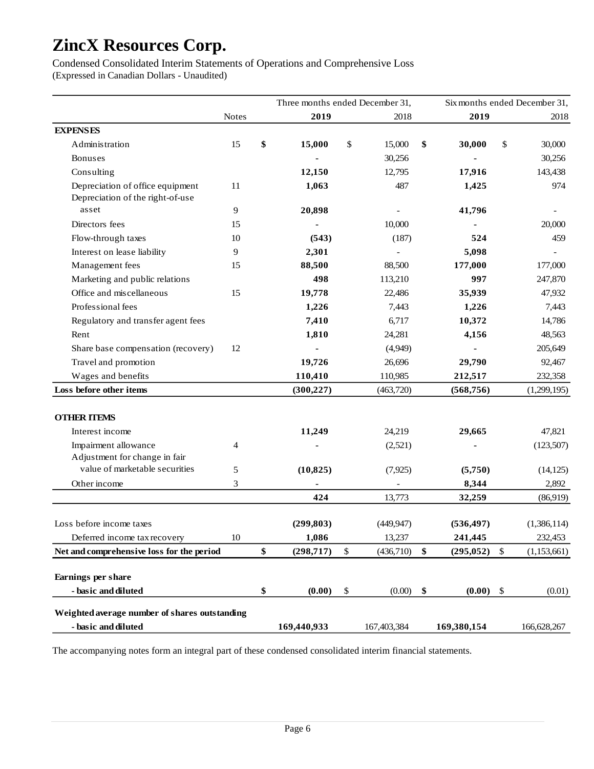Condensed Consolidated Interim Statements of Operations and Comprehensive Loss (Expressed in Canadian Dollars - Unaudited)

|                                               |              | Three months ended December 31, |                 |                  |               | Six months ended December 31, |
|-----------------------------------------------|--------------|---------------------------------|-----------------|------------------|---------------|-------------------------------|
|                                               | <b>Notes</b> | 2019                            | 2018            | 2019             |               | 2018                          |
| <b>EXPENSES</b>                               |              |                                 |                 |                  |               |                               |
| Administration                                | 15           | \$<br>15,000                    | \$<br>15,000    | \$<br>30,000     | \$            | 30,000                        |
| <b>Bonuses</b>                                |              |                                 | 30,256          |                  |               | 30,256                        |
| Consulting                                    |              | 12,150                          | 12,795          | 17,916           |               | 143,438                       |
| Depreciation of office equipment              | 11           | 1,063                           | 487             | 1,425            |               | 974                           |
| Depreciation of the right-of-use              |              |                                 |                 |                  |               |                               |
| asset                                         | 9            | 20,898                          |                 | 41,796           |               |                               |
| Directors fees                                | 15           |                                 | 10,000          |                  |               | 20,000                        |
| Flow-through taxes                            | 10           | (543)                           | (187)           | 524              |               | 459                           |
| Interest on lease liability                   | 9            | 2,301                           |                 | 5,098            |               |                               |
| Management fees                               | 15           | 88,500                          | 88,500          | 177,000          |               | 177,000                       |
| Marketing and public relations                |              | 498                             | 113,210         | 997              |               | 247,870                       |
| Office and miscellaneous                      | 15           | 19,778                          | 22,486          | 35,939           |               | 47,932                        |
| Professional fees                             |              | 1,226                           | 7,443           | 1,226            |               | 7,443                         |
| Regulatory and transfer agent fees            |              | 7,410                           | 6,717           | 10,372           |               | 14,786                        |
| Rent                                          |              | 1,810                           | 24,281          | 4,156            |               | 48,563                        |
| Share base compensation (recovery)            | 12           |                                 | (4,949)         |                  |               | 205,649                       |
| Travel and promotion                          |              | 19,726                          | 26,696          | 29,790           |               | 92,467                        |
| Wages and benefits                            |              | 110,410                         | 110,985         | 212,517          |               | 232,358                       |
| Loss before other items                       |              | (300, 227)                      | (463,720)       | (568, 756)       |               | (1,299,195)                   |
|                                               |              |                                 |                 |                  |               |                               |
| <b>OTHER ITEMS</b>                            |              |                                 |                 |                  |               |                               |
| Interest income                               |              | 11,249                          | 24,219          | 29,665           |               | 47,821                        |
| Impairment allowance                          | 4            |                                 | (2,521)         |                  |               | (123,507)                     |
| Adjustment for change in fair                 |              |                                 |                 |                  |               |                               |
| value of marketable securities                | 5            | (10, 825)                       | (7, 925)        | (5,750)          |               | (14, 125)                     |
| Other income                                  | 3            |                                 |                 | 8,344            |               | 2,892                         |
|                                               |              | 424                             | 13,773          | 32,259           |               | (86,919)                      |
|                                               |              |                                 |                 |                  |               |                               |
| Loss before income taxes                      |              | (299, 803)                      | (449, 947)      | (536, 497)       |               | (1,386,114)                   |
| Deferred income tax recovery                  | $10\,$       | 1,086                           | 13,237          | 241,445          |               | 232,453                       |
| Net and comprehensive loss for the period     |              | \$<br>(298, 717)                | \$<br>(436,710) | \$<br>(295, 052) | $\mathcal{S}$ | (1,153,661)                   |
| Earnings per share                            |              |                                 |                 |                  |               |                               |
| - basic and diluted                           |              | \$<br>(0.00)                    | \$<br>(0.00)    | \$<br>(0.00)     | \$            | (0.01)                        |
| Weighted average number of shares outstanding |              |                                 |                 |                  |               |                               |
| - basic and diluted                           |              | 169,440,933                     | 167,403,384     | 169,380,154      |               | 166,628,267                   |
|                                               |              |                                 |                 |                  |               |                               |

The accompanying notes form an integral part of these condensed consolidated interim financial statements.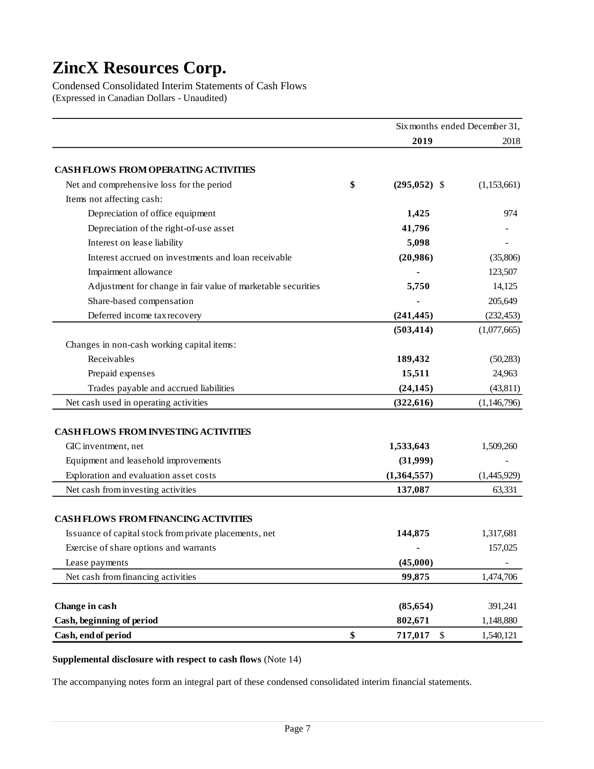Condensed Consolidated Interim Statements of Cash Flows (Expressed in Canadian Dollars - Unaudited)

|                                                              | Six months ended December 31, |             |
|--------------------------------------------------------------|-------------------------------|-------------|
|                                                              | 2019                          | 2018        |
| <b>CASH FLOWS FROM OPERATING ACTIVITIES</b>                  |                               |             |
| Net and comprehensive loss for the period                    | \$<br>$(295,052)$ \$          | (1,153,661) |
| Items not affecting cash:                                    |                               |             |
| Depreciation of office equipment                             | 1,425                         | 974         |
| Depreciation of the right-of-use asset                       | 41,796                        |             |
| Interest on lease liability                                  | 5,098                         |             |
| Interest accrued on investments and loan receivable          | (20,986)                      | (35,806)    |
| Impairment allowance                                         |                               | 123,507     |
| Adjustment for change in fair value of marketable securities | 5,750                         | 14,125      |
| Share-based compensation                                     |                               | 205,649     |
| Deferred income tax recovery                                 | (241, 445)                    | (232, 453)  |
|                                                              | (503, 414)                    | (1,077,665) |
| Changes in non-cash working capital items:                   |                               |             |
| Receivables                                                  | 189,432                       | (50, 283)   |
| Prepaid expenses                                             | 15,511                        | 24,963      |
| Trades payable and accrued liabilities                       | (24, 145)                     | (43, 811)   |
| Net cash used in operating activities                        | (322, 616)                    | (1,146,796) |
|                                                              |                               |             |
| <b>CASH FLOWS FROM INVESTING ACTIVITIES</b>                  |                               |             |
| GIC inventment, net                                          | 1,533,643                     | 1,509,260   |
| Equipment and leasehold improvements                         | (31,999)                      |             |
| Exploration and evaluation asset costs                       | (1,364,557)                   | (1,445,929) |
| Net cash from investing activities                           | 137,087                       | 63,331      |
|                                                              |                               |             |
| <b>CASH FLOWS FROM FINANCING ACTIVITIES</b>                  |                               |             |
| Issuance of capital stock from private placements, net       | 144,875                       | 1,317,681   |
| Exercise of share options and warrants                       |                               | 157,025     |
| Lease payments                                               | (45,000)                      |             |
| Net cash from financing activities                           | 99,875                        | 1,474,706   |
| Change in cash                                               | (85, 654)                     | 391,241     |
| Cash, beginning of period                                    | 802,671                       | 1,148,880   |
| Cash, end of period                                          | \$<br>717,017<br>\$           | 1,540,121   |

### **Supplemental disclosure with respect to cash flows** (Note 14)

The accompanying notes form an integral part of these condensed consolidated interim financial statements.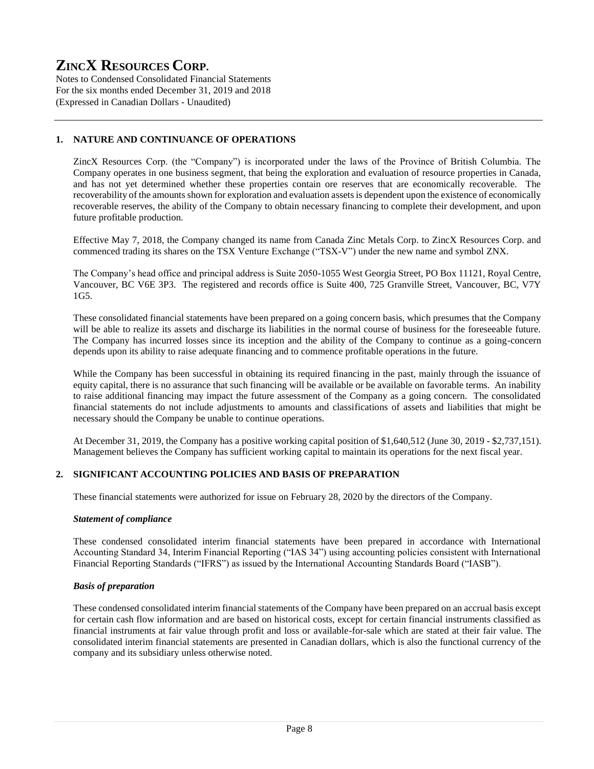Notes to Condensed Consolidated Financial Statements For the six months ended December 31, 2019 and 2018 (Expressed in Canadian Dollars - Unaudited)

# **1. NATURE AND CONTINUANCE OF OPERATIONS**

ZincX Resources Corp. (the "Company") is incorporated under the laws of the Province of British Columbia. The Company operates in one business segment, that being the exploration and evaluation of resource properties in Canada, and has not yet determined whether these properties contain ore reserves that are economically recoverable. The recoverability of the amounts shown for exploration and evaluation assets is dependent upon the existence of economically recoverable reserves, the ability of the Company to obtain necessary financing to complete their development, and upon future profitable production.

Effective May 7, 2018, the Company changed its name from Canada Zinc Metals Corp. to ZincX Resources Corp. and commenced trading its shares on the TSX Venture Exchange ("TSX-V") under the new name and symbol ZNX.

The Company's head office and principal address is Suite 2050-1055 West Georgia Street, PO Box 11121, Royal Centre, Vancouver, BC V6E 3P3. The registered and records office is Suite 400, 725 Granville Street, Vancouver, BC, V7Y 1G5.

These consolidated financial statements have been prepared on a going concern basis, which presumes that the Company will be able to realize its assets and discharge its liabilities in the normal course of business for the foreseeable future. The Company has incurred losses since its inception and the ability of the Company to continue as a going-concern depends upon its ability to raise adequate financing and to commence profitable operations in the future.

While the Company has been successful in obtaining its required financing in the past, mainly through the issuance of equity capital, there is no assurance that such financing will be available or be available on favorable terms. An inability to raise additional financing may impact the future assessment of the Company as a going concern. The consolidated financial statements do not include adjustments to amounts and classifications of assets and liabilities that might be necessary should the Company be unable to continue operations.

At December 31, 2019, the Company has a positive working capital position of \$1,640,512 (June 30, 2019 - \$2,737,151). Management believes the Company has sufficient working capital to maintain its operations for the next fiscal year.

# **2. SIGNIFICANT ACCOUNTING POLICIES AND BASIS OF PREPARATION**

These financial statements were authorized for issue on February 28, 2020 by the directors of the Company.

#### *Statement of compliance*

These condensed consolidated interim financial statements have been prepared in accordance with International Accounting Standard 34, Interim Financial Reporting ("IAS 34") using accounting policies consistent with International Financial Reporting Standards ("IFRS") as issued by the International Accounting Standards Board ("IASB").

#### *Basis of preparation*

These condensed consolidated interim financial statements of the Company have been prepared on an accrual basis except for certain cash flow information and are based on historical costs, except for certain financial instruments classified as financial instruments at fair value through profit and loss or available-for-sale which are stated at their fair value. The consolidated interim financial statements are presented in Canadian dollars, which is also the functional currency of the company and its subsidiary unless otherwise noted.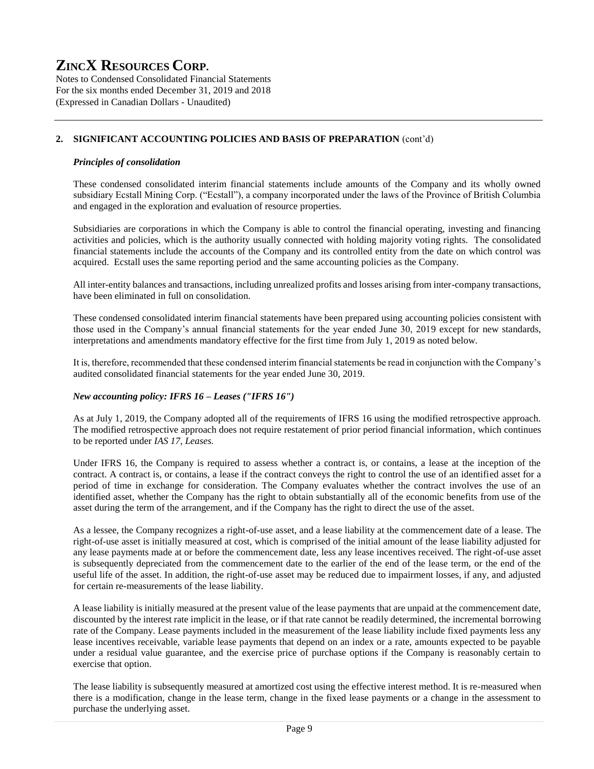Notes to Condensed Consolidated Financial Statements For the six months ended December 31, 2019 and 2018 (Expressed in Canadian Dollars - Unaudited)

# **2. SIGNIFICANT ACCOUNTING POLICIES AND BASIS OF PREPARATION** (cont'd)

### *Principles of consolidation*

These condensed consolidated interim financial statements include amounts of the Company and its wholly owned subsidiary Ecstall Mining Corp. ("Ecstall"), a company incorporated under the laws of the Province of British Columbia and engaged in the exploration and evaluation of resource properties.

Subsidiaries are corporations in which the Company is able to control the financial operating, investing and financing activities and policies, which is the authority usually connected with holding majority voting rights. The consolidated financial statements include the accounts of the Company and its controlled entity from the date on which control was acquired. Ecstall uses the same reporting period and the same accounting policies as the Company.

All inter-entity balances and transactions, including unrealized profits and losses arising from inter-company transactions, have been eliminated in full on consolidation.

These condensed consolidated interim financial statements have been prepared using accounting policies consistent with those used in the Company's annual financial statements for the year ended June 30, 2019 except for new standards, interpretations and amendments mandatory effective for the first time from July 1, 2019 as noted below.

It is, therefore, recommended that these condensed interim financial statements be read in conjunction with the Company's audited consolidated financial statements for the year ended June 30, 2019.

# *New accounting policy: IFRS 16 – Leases ("IFRS 16")*

As at July 1, 2019, the Company adopted all of the requirements of IFRS 16 using the modified retrospective approach. The modified retrospective approach does not require restatement of prior period financial information, which continues to be reported under *IAS 17, Leases.*

Under IFRS 16, the Company is required to assess whether a contract is, or contains, a lease at the inception of the contract. A contract is, or contains, a lease if the contract conveys the right to control the use of an identified asset for a period of time in exchange for consideration. The Company evaluates whether the contract involves the use of an identified asset, whether the Company has the right to obtain substantially all of the economic benefits from use of the asset during the term of the arrangement, and if the Company has the right to direct the use of the asset.

As a lessee, the Company recognizes a right-of-use asset, and a lease liability at the commencement date of a lease. The right-of-use asset is initially measured at cost, which is comprised of the initial amount of the lease liability adjusted for any lease payments made at or before the commencement date, less any lease incentives received. The right-of-use asset is subsequently depreciated from the commencement date to the earlier of the end of the lease term, or the end of the useful life of the asset. In addition, the right-of-use asset may be reduced due to impairment losses, if any, and adjusted for certain re-measurements of the lease liability.

A lease liability is initially measured at the present value of the lease payments that are unpaid at the commencement date, discounted by the interest rate implicit in the lease, or if that rate cannot be readily determined, the incremental borrowing rate of the Company. Lease payments included in the measurement of the lease liability include fixed payments less any lease incentives receivable, variable lease payments that depend on an index or a rate, amounts expected to be payable under a residual value guarantee, and the exercise price of purchase options if the Company is reasonably certain to exercise that option.

The lease liability is subsequently measured at amortized cost using the effective interest method. It is re-measured when there is a modification, change in the lease term, change in the fixed lease payments or a change in the assessment to purchase the underlying asset.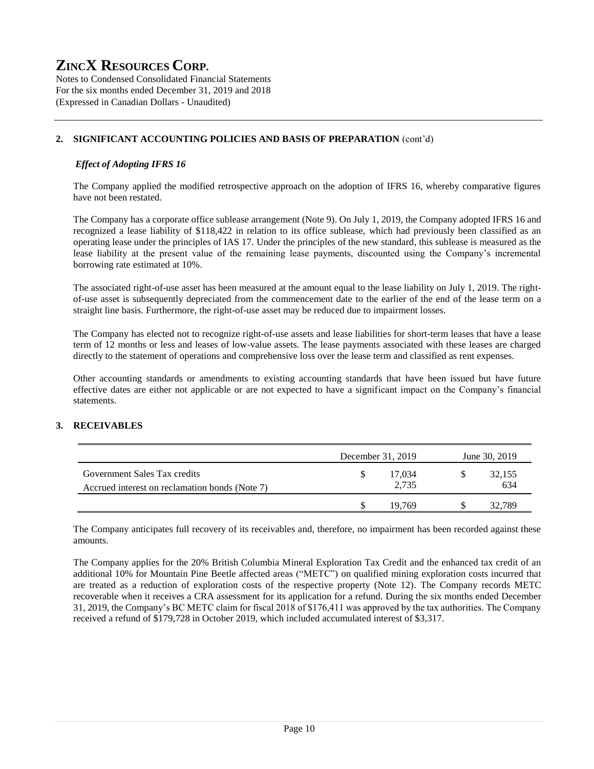Notes to Condensed Consolidated Financial Statements For the six months ended December 31, 2019 and 2018 (Expressed in Canadian Dollars - Unaudited)

# **2. SIGNIFICANT ACCOUNTING POLICIES AND BASIS OF PREPARATION** (cont'd)

### *Effect of Adopting IFRS 16*

The Company applied the modified retrospective approach on the adoption of IFRS 16, whereby comparative figures have not been restated.

The Company has a corporate office sublease arrangement (Note 9). On July 1, 2019, the Company adopted IFRS 16 and recognized a lease liability of \$118,422 in relation to its office sublease, which had previously been classified as an operating lease under the principles of IAS 17. Under the principles of the new standard, this sublease is measured as the lease liability at the present value of the remaining lease payments, discounted using the Company's incremental borrowing rate estimated at 10%.

The associated right-of-use asset has been measured at the amount equal to the lease liability on July 1, 2019. The rightof-use asset is subsequently depreciated from the commencement date to the earlier of the end of the lease term on a straight line basis. Furthermore, the right-of-use asset may be reduced due to impairment losses.

The Company has elected not to recognize right-of-use assets and lease liabilities for short-term leases that have a lease term of 12 months or less and leases of low-value assets. The lease payments associated with these leases are charged directly to the statement of operations and comprehensive loss over the lease term and classified as rent expenses.

Other accounting standards or amendments to existing accounting standards that have been issued but have future effective dates are either not applicable or are not expected to have a significant impact on the Company's financial statements.

# **3. RECEIVABLES**

|                                                                                | December 31, 2019 | June 30, 2019 |
|--------------------------------------------------------------------------------|-------------------|---------------|
| Government Sales Tax credits<br>Accrued interest on reclamation bonds (Note 7) | 17.034<br>2,735   | 32,155<br>634 |
|                                                                                | 19 769            | 32.789        |

The Company anticipates full recovery of its receivables and, therefore, no impairment has been recorded against these amounts.

The Company applies for the 20% British Columbia Mineral Exploration Tax Credit and the enhanced tax credit of an additional 10% for Mountain Pine Beetle affected areas ("METC") on qualified mining exploration costs incurred that are treated as a reduction of exploration costs of the respective property (Note 12). The Company records METC recoverable when it receives a CRA assessment for its application for a refund. During the six months ended December 31, 2019, the Company's BC METC claim for fiscal 2018 of \$176,411 was approved by the tax authorities. The Company received a refund of \$179,728 in October 2019, which included accumulated interest of \$3,317.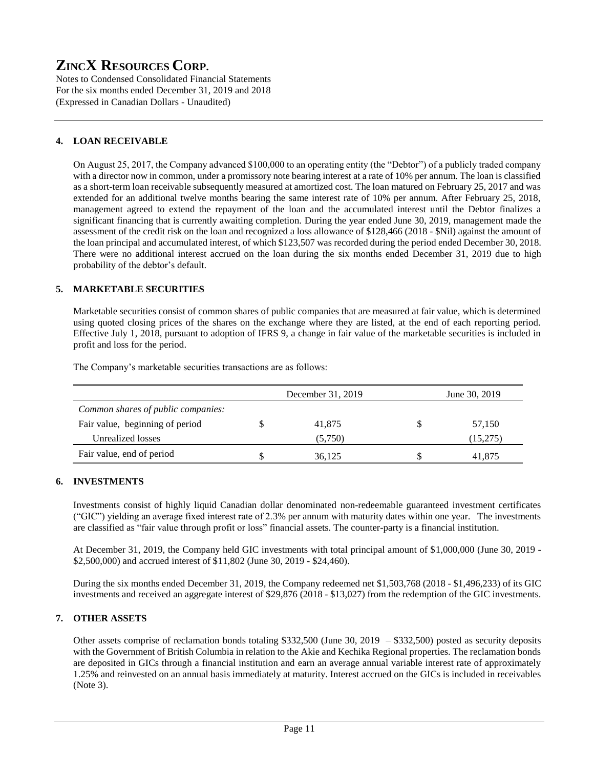Notes to Condensed Consolidated Financial Statements For the six months ended December 31, 2019 and 2018 (Expressed in Canadian Dollars - Unaudited)

# **4. LOAN RECEIVABLE**

On August 25, 2017, the Company advanced \$100,000 to an operating entity (the "Debtor") of a publicly traded company with a director now in common, under a promissory note bearing interest at a rate of 10% per annum. The loan is classified as a short-term loan receivable subsequently measured at amortized cost. The loan matured on February 25, 2017 and was extended for an additional twelve months bearing the same interest rate of 10% per annum. After February 25, 2018, management agreed to extend the repayment of the loan and the accumulated interest until the Debtor finalizes a significant financing that is currently awaiting completion. During the year ended June 30, 2019, management made the assessment of the credit risk on the loan and recognized a loss allowance of \$128,466 (2018 - \$Nil) against the amount of the loan principal and accumulated interest, of which \$123,507 was recorded during the period ended December 30, 2018. There were no additional interest accrued on the loan during the six months ended December 31, 2019 due to high probability of the debtor's default.

# **5. MARKETABLE SECURITIES**

Marketable securities consist of common shares of public companies that are measured at fair value, which is determined using quoted closing prices of the shares on the exchange where they are listed, at the end of each reporting period. Effective July 1, 2018, pursuant to adoption of IFRS 9, a change in fair value of the marketable securities is included in profit and loss for the period.

|                                    | December 31, 2019 | June 30, 2019 |
|------------------------------------|-------------------|---------------|
| Common shares of public companies: |                   |               |
| Fair value, beginning of period    | 41,875            | 57,150        |
| Unrealized losses                  | (5.750)           | (15,275)      |
| Fair value, end of period          | 36.125            | 41.875        |

The Company's marketable securities transactions are as follows:

# **6. INVESTMENTS**

Investments consist of highly liquid Canadian dollar denominated non-redeemable guaranteed investment certificates ("GIC") yielding an average fixed interest rate of 2.3% per annum with maturity dates within one year. The investments are classified as "fair value through profit or loss" financial assets. The counter-party is a financial institution.

At December 31, 2019, the Company held GIC investments with total principal amount of \$1,000,000 (June 30, 2019 - \$2,500,000) and accrued interest of \$11,802 (June 30, 2019 - \$24,460).

During the six months ended December 31, 2019, the Company redeemed net \$1,503,768 (2018 - \$1,496,233) of its GIC investments and received an aggregate interest of \$29,876 (2018 - \$13,027) from the redemption of the GIC investments.

# **7. OTHER ASSETS**

Other assets comprise of reclamation bonds totaling \$332,500 (June 30, 2019 – \$332,500) posted as security deposits with the Government of British Columbia in relation to the Akie and Kechika Regional properties. The reclamation bonds are deposited in GICs through a financial institution and earn an average annual variable interest rate of approximately 1.25% and reinvested on an annual basis immediately at maturity. Interest accrued on the GICs is included in receivables (Note 3).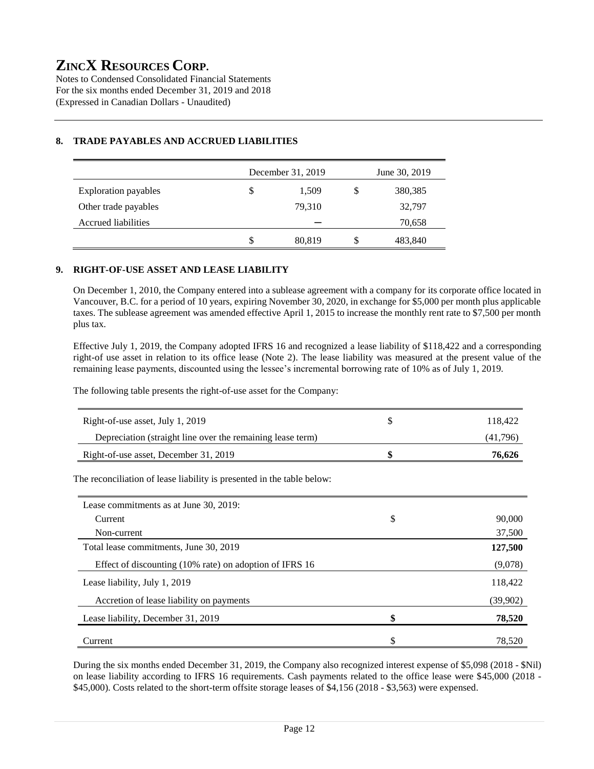Notes to Condensed Consolidated Financial Statements For the six months ended December 31, 2019 and 2018 (Expressed in Canadian Dollars - Unaudited)

|                             |    | December 31, 2019 | June 30, 2019 |         |  |  |  |
|-----------------------------|----|-------------------|---------------|---------|--|--|--|
| <b>Exploration payables</b> | \$ | 1,509             | S             | 380,385 |  |  |  |
| Other trade payables        |    | 79,310            |               | 32,797  |  |  |  |
| Accrued liabilities         |    |                   |               | 70,658  |  |  |  |
|                             | S  | 80,819            | S             | 483,840 |  |  |  |

# **8. TRADE PAYABLES AND ACCRUED LIABILITIES**

# **9. RIGHT-OF-USE ASSET AND LEASE LIABILITY**

On December 1, 2010, the Company entered into a sublease agreement with a company for its corporate office located in Vancouver, B.C. for a period of 10 years, expiring November 30, 2020, in exchange for \$5,000 per month plus applicable taxes. The sublease agreement was amended effective April 1, 2015 to increase the monthly rent rate to \$7,500 per month plus tax.

Effective July 1, 2019, the Company adopted IFRS 16 and recognized a lease liability of \$118,422 and a corresponding right-of use asset in relation to its office lease (Note 2). The lease liability was measured at the present value of the remaining lease payments, discounted using the lessee's incremental borrowing rate of 10% as of July 1, 2019.

The following table presents the right-of-use asset for the Company:

| Right-of-use asset, July 1, 2019                                       | \$<br>118,422 |
|------------------------------------------------------------------------|---------------|
| Depreciation (straight line over the remaining lease term)             | (41,796)      |
| Right-of-use asset, December 31, 2019                                  | \$<br>76,626  |
| The reconciliation of lease liability is presented in the table below: |               |
| Lease commitments as at June 30, 2019:                                 |               |
| Current                                                                | \$<br>90,000  |
| Non-current                                                            | 37,500        |
| Total lease commitments, June 30, 2019                                 | 127,500       |
| Effect of discounting (10% rate) on adoption of IFRS 16                | (9,078)       |
| Lease liability, July 1, 2019                                          | 118,422       |
| Accretion of lease liability on payments                               | (39,902)      |
| Lease liability, December 31, 2019                                     | \$<br>78,520  |
| Current                                                                | \$<br>78,520  |

During the six months ended December 31, 2019, the Company also recognized interest expense of \$5,098 (2018 - \$Nil) on lease liability according to IFRS 16 requirements. Cash payments related to the office lease were \$45,000 (2018 - \$45,000). Costs related to the short-term offsite storage leases of \$4,156 (2018 - \$3,563) were expensed.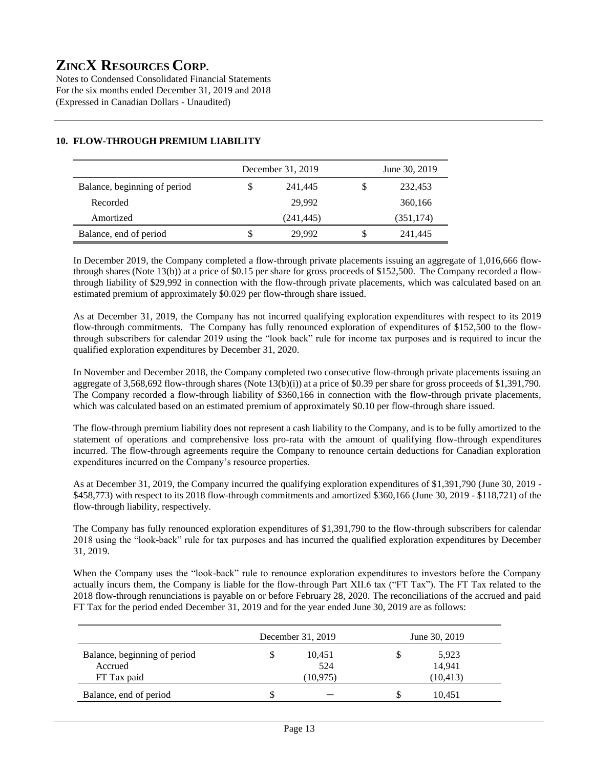Notes to Condensed Consolidated Financial Statements For the six months ended December 31, 2019 and 2018 (Expressed in Canadian Dollars - Unaudited)

|                              | December 31, 2019 | June 30, 2019 |            |  |  |  |
|------------------------------|-------------------|---------------|------------|--|--|--|
| Balance, beginning of period | 241,445           | S             | 232,453    |  |  |  |
| Recorded                     | 29.992            |               | 360,166    |  |  |  |
| Amortized                    | (241, 445)        |               | (351, 174) |  |  |  |
| Balance, end of period       | 29,992            | S             | 241,445    |  |  |  |

# **10. FLOW-THROUGH PREMIUM LIABILITY**

In December 2019, the Company completed a flow-through private placements issuing an aggregate of 1,016,666 flowthrough shares (Note 13(b)) at a price of \$0.15 per share for gross proceeds of \$152,500. The Company recorded a flowthrough liability of \$29,992 in connection with the flow-through private placements, which was calculated based on an estimated premium of approximately \$0.029 per flow-through share issued.

#### As at December 31, 2019, the Company has not incurred qualifying exploration expenditures with respect to its 2019 flow-through commitments. The Company has fully renounced exploration of expenditures of \$152,500 to the flowthrough subscribers for calendar 2019 using the "look back" rule for income tax purposes and is required to incur the qualified exploration expenditures by December 31, 2020.

In November and December 2018, the Company completed two consecutive flow-through private placements issuing an aggregate of 3,568,692 flow-through shares (Note 13(b)(i)) at a price of \$0.39 per share for gross proceeds of \$1,391,790. The Company recorded a flow-through liability of \$360,166 in connection with the flow-through private placements, which was calculated based on an estimated premium of approximately \$0.10 per flow-through share issued.

The flow-through premium liability does not represent a cash liability to the Company, and is to be fully amortized to the statement of operations and comprehensive loss pro-rata with the amount of qualifying flow-through expenditures incurred. The flow-through agreements require the Company to renounce certain deductions for Canadian exploration expenditures incurred on the Company's resource properties.

As at December 31, 2019, the Company incurred the qualifying exploration expenditures of \$1,391,790 (June 30, 2019 - \$458,773) with respect to its 2018 flow-through commitments and amortized \$360,166 (June 30, 2019 - \$118,721) of the flow-through liability, respectively.

The Company has fully renounced exploration expenditures of \$1,391,790 to the flow-through subscribers for calendar 2018 using the "look-back" rule for tax purposes and has incurred the qualified exploration expenditures by December 31, 2019.

When the Company uses the "look-back" rule to renounce exploration expenditures to investors before the Company actually incurs them, the Company is liable for the flow-through Part XII.6 tax ("FT Tax"). The FT Tax related to the 2018 flow-through renunciations is payable on or before February 28, 2020. The reconciliations of the accrued and paid FT Tax for the period ended December 31, 2019 and for the year ended June 30, 2019 are as follows:

|                              |   | December 31, 2019 | June 30, 2019 |           |  |  |  |
|------------------------------|---|-------------------|---------------|-----------|--|--|--|
| Balance, beginning of period | S | 10,451            |               | 5,923     |  |  |  |
| Accrued                      |   | 524               |               | 14,941    |  |  |  |
| FT Tax paid                  |   | (10, 975)         |               | (10, 413) |  |  |  |
| Balance, end of period       | S |                   | ۰D            | 10.451    |  |  |  |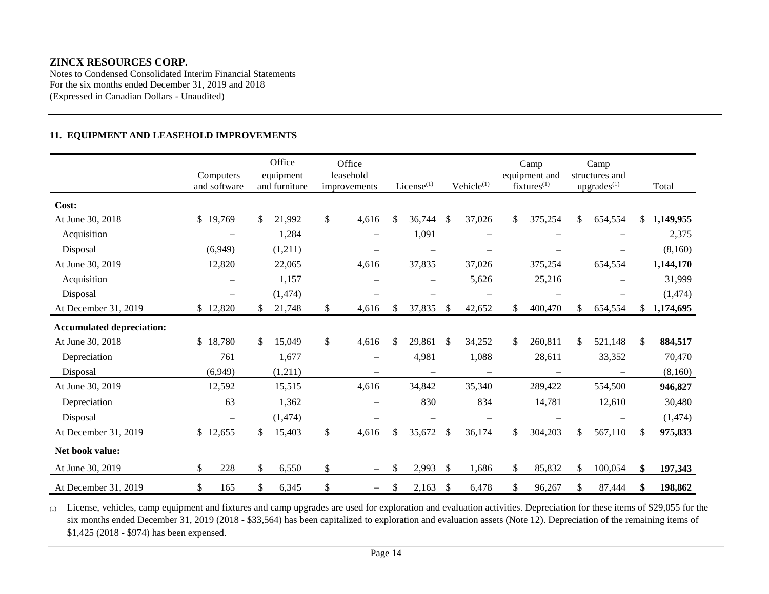Notes to Condensed Consolidated Interim Financial Statements For the six months ended December 31, 2019 and 2018 (Expressed in Canadian Dollars - Unaudited)

# **11. EQUIPMENT AND LEASEHOLD IMPROVEMENTS**

|                                  | Computers<br>and software       |              | Office<br>equipment<br>and furniture | Office<br>leasehold<br>improvements | $License$ <sup>(1)</sup> |                                 | Vehicle <sup>(1)</sup> |                          | Camp<br>equipment and<br>$fixtures^{(1)}$ |                          | Camp<br>structures and<br>upgrades $(1)$ |                          |     | Total       |
|----------------------------------|---------------------------------|--------------|--------------------------------------|-------------------------------------|--------------------------|---------------------------------|------------------------|--------------------------|-------------------------------------------|--------------------------|------------------------------------------|--------------------------|-----|-------------|
| Cost:                            |                                 |              |                                      |                                     |                          |                                 |                        |                          |                                           |                          |                                          |                          |     |             |
| At June 30, 2018                 | \$19,769                        | \$           | 21,992                               | \$<br>4,616                         | \$                       | 36,744                          | <sup>\$</sup>          | 37,026                   | \$                                        | 375,254                  | \$                                       | 654,554                  |     | \$1,149,955 |
| Acquisition                      |                                 |              | 1,284                                |                                     |                          | 1,091                           |                        |                          |                                           |                          |                                          |                          |     | 2,375       |
| Disposal                         | (6,949)                         |              | (1,211)                              |                                     |                          | $\overbrace{\phantom{1232211}}$ |                        |                          |                                           |                          |                                          | $\overline{\phantom{0}}$ |     | (8,160)     |
| At June 30, 2019                 | 12,820                          |              | 22,065                               | 4,616                               |                          | 37,835                          |                        | 37,026                   |                                           | 375,254                  |                                          | 654,554                  |     | 1,144,170   |
| Acquisition                      |                                 |              | 1,157                                |                                     |                          |                                 |                        | 5,626                    |                                           | 25,216                   |                                          |                          |     | 31,999      |
| Disposal                         |                                 |              | (1, 474)                             |                                     |                          |                                 |                        |                          |                                           |                          |                                          |                          |     | (1, 474)    |
| At December 31, 2019             | \$12,820                        | \$           | 21,748                               | \$<br>4,616                         | \$                       | 37,835                          | \$                     | 42,652                   | \$                                        | 400,470                  | $\mathbb{S}$                             | 654,554                  |     | \$1,174,695 |
| <b>Accumulated depreciation:</b> |                                 |              |                                      |                                     |                          |                                 |                        |                          |                                           |                          |                                          |                          |     |             |
| At June 30, 2018                 | \$18,780                        | \$           | 15,049                               | \$<br>4,616                         | \$.                      | 29,861                          | $\mathbb{S}$           | 34,252                   | \$                                        | 260,811                  | \$.                                      | 521,148                  | \$. | 884,517     |
| Depreciation                     | 761                             |              | 1,677                                |                                     |                          | 4,981                           |                        | 1,088                    |                                           | 28,611                   |                                          | 33,352                   |     | 70,470      |
| Disposal                         | (6,949)                         |              | (1,211)                              | $\qquad \qquad -$                   |                          | $\qquad \qquad -$               |                        | $\overline{\phantom{m}}$ |                                           | $\overline{\phantom{m}}$ |                                          | $\qquad \qquad -$        |     | (8,160)     |
| At June 30, 2019                 | 12,592                          |              | 15,515                               | 4,616                               |                          | 34,842                          |                        | 35,340                   |                                           | 289,422                  |                                          | 554,500                  |     | 946,827     |
| Depreciation                     | 63                              |              | 1,362                                |                                     |                          | 830                             |                        | 834                      |                                           | 14,781                   |                                          | 12,610                   |     | 30,480      |
| Disposal                         | $\overbrace{\phantom{1232211}}$ |              | (1, 474)                             | $\qquad \qquad -$                   |                          |                                 |                        | $\overline{\phantom{m}}$ |                                           |                          |                                          | -                        |     | (1, 474)    |
| At December 31, 2019             | \$12,655                        | \$           | 15,403                               | \$<br>4,616                         | \$                       | 35,672                          | $\mathbb{S}$           | 36,174                   | $\mathbb{S}$                              | 304,203                  | \$                                       | 567,110                  | \$  | 975,833     |
| Net book value:                  |                                 |              |                                      |                                     |                          |                                 |                        |                          |                                           |                          |                                          |                          |     |             |
| At June 30, 2019                 | $\mathbb{S}$<br>228             | $\mathbb{S}$ | 6,550                                | \$<br>$\overline{\phantom{m}}$      | \$                       | 2,993                           | \$                     | 1,686                    | \$                                        | 85,832                   | \$                                       | 100,054                  | \$  | 197,343     |
| At December 31, 2019             | \$<br>165                       | \$           | 6,345                                | \$                                  | \$                       | 2,163                           | \$                     | 6,478                    | \$                                        | 96,267                   | \$                                       | 87,444                   | \$  | 198,862     |

(1) License, vehicles, camp equipment and fixtures and camp upgrades are used for exploration and evaluation activities. Depreciation for these items of \$29,055 for the six months ended December 31, 2019 (2018 - \$33,564) has been capitalized to exploration and evaluation assets (Note 12). Depreciation of the remaining items of \$1,425 (2018 - \$974) has been expensed.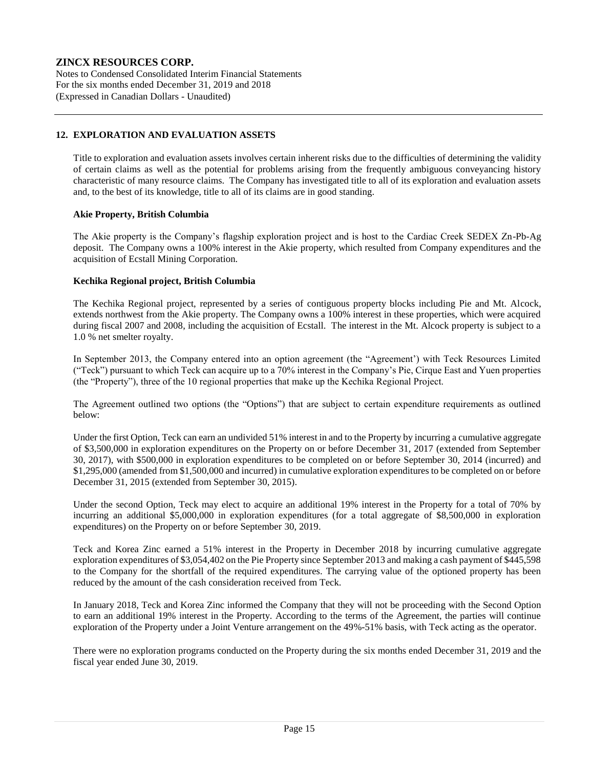Notes to Condensed Consolidated Interim Financial Statements For the six months ended December 31, 2019 and 2018 (Expressed in Canadian Dollars - Unaudited)

#### **12. EXPLORATION AND EVALUATION ASSETS**

Title to exploration and evaluation assets involves certain inherent risks due to the difficulties of determining the validity of certain claims as well as the potential for problems arising from the frequently ambiguous conveyancing history characteristic of many resource claims. The Company has investigated title to all of its exploration and evaluation assets and, to the best of its knowledge, title to all of its claims are in good standing.

#### **Akie Property, British Columbia**

The Akie property is the Company's flagship exploration project and is host to the Cardiac Creek SEDEX Zn-Pb-Ag deposit. The Company owns a 100% interest in the Akie property, which resulted from Company expenditures and the acquisition of Ecstall Mining Corporation.

#### **Kechika Regional project, British Columbia**

The Kechika Regional project, represented by a series of contiguous property blocks including Pie and Mt. Alcock, extends northwest from the Akie property. The Company owns a 100% interest in these properties, which were acquired during fiscal 2007 and 2008, including the acquisition of Ecstall. The interest in the Mt. Alcock property is subject to a 1.0 % net smelter royalty.

In September 2013, the Company entered into an option agreement (the "Agreement') with Teck Resources Limited ("Teck") pursuant to which Teck can acquire up to a 70% interest in the Company's Pie, Cirque East and Yuen properties (the "Property"), three of the 10 regional properties that make up the Kechika Regional Project.

The Agreement outlined two options (the "Options") that are subject to certain expenditure requirements as outlined below:

Under the first Option, Teck can earn an undivided 51% interest in and to the Property by incurring a cumulative aggregate of \$3,500,000 in exploration expenditures on the Property on or before December 31, 2017 (extended from September 30, 2017), with \$500,000 in exploration expenditures to be completed on or before September 30, 2014 (incurred) and \$1,295,000 (amended from \$1,500,000 and incurred) in cumulative exploration expenditures to be completed on or before December 31, 2015 (extended from September 30, 2015).

Under the second Option, Teck may elect to acquire an additional 19% interest in the Property for a total of 70% by incurring an additional \$5,000,000 in exploration expenditures (for a total aggregate of \$8,500,000 in exploration expenditures) on the Property on or before September 30, 2019.

Teck and Korea Zinc earned a 51% interest in the Property in December 2018 by incurring cumulative aggregate exploration expenditures of \$3,054,402 on the Pie Property since September 2013 and making a cash payment of \$445,598 to the Company for the shortfall of the required expenditures. The carrying value of the optioned property has been reduced by the amount of the cash consideration received from Teck.

In January 2018, Teck and Korea Zinc informed the Company that they will not be proceeding with the Second Option to earn an additional 19% interest in the Property. According to the terms of the Agreement, the parties will continue exploration of the Property under a Joint Venture arrangement on the 49%-51% basis, with Teck acting as the operator.

There were no exploration programs conducted on the Property during the six months ended December 31, 2019 and the fiscal year ended June 30, 2019.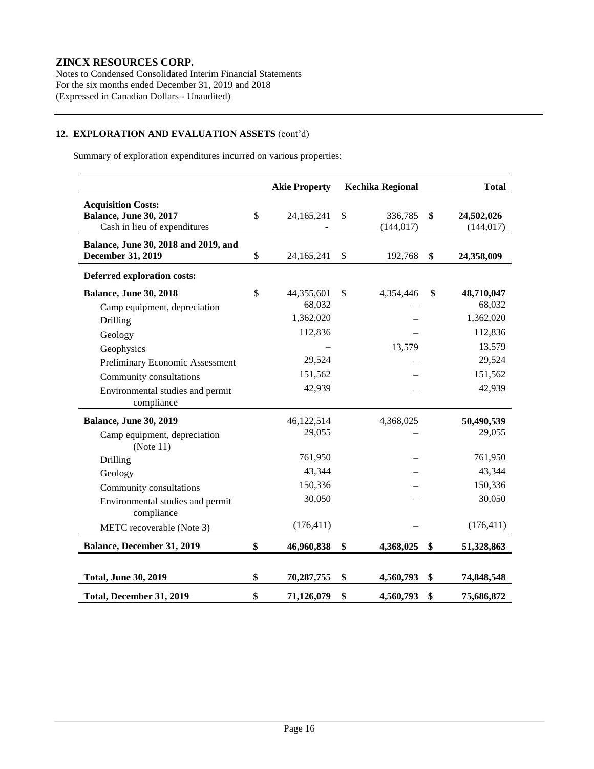Notes to Condensed Consolidated Interim Financial Statements For the six months ended December 31, 2019 and 2018 (Expressed in Canadian Dollars - Unaudited)

# **12. EXPLORATION AND EVALUATION ASSETS** (cont'd)

Summary of exploration expenditures incurred on various properties:

|                                                                                            | <b>Akie Property</b>       | <b>Kechika Regional</b>     | <b>Total</b>                   |
|--------------------------------------------------------------------------------------------|----------------------------|-----------------------------|--------------------------------|
| <b>Acquisition Costs:</b><br><b>Balance, June 30, 2017</b><br>Cash in lieu of expenditures | \$<br>24, 165, 241         | \$<br>336,785<br>(144, 017) | \$<br>24,502,026<br>(144, 017) |
| Balance, June 30, 2018 and 2019, and<br>December 31, 2019                                  | \$<br>24,165,241           | \$<br>192,768               | \$<br>24,358,009               |
| <b>Deferred exploration costs:</b>                                                         |                            |                             |                                |
| <b>Balance, June 30, 2018</b><br>Camp equipment, depreciation                              | \$<br>44,355,601<br>68,032 | \$<br>4,354,446             | \$<br>48,710,047<br>68,032     |
| Drilling                                                                                   | 1,362,020                  |                             | 1,362,020                      |
| Geology                                                                                    | 112,836                    |                             | 112,836                        |
| Geophysics                                                                                 |                            | 13,579                      | 13,579                         |
| Preliminary Economic Assessment                                                            | 29,524                     |                             | 29,524                         |
| Community consultations                                                                    | 151,562                    |                             | 151,562                        |
| Environmental studies and permit<br>compliance                                             | 42,939                     |                             | 42,939                         |
| <b>Balance, June 30, 2019</b>                                                              | 46,122,514                 | 4,368,025                   | 50,490,539                     |
| Camp equipment, depreciation<br>(Note 11)                                                  | 29,055                     |                             | 29,055                         |
| Drilling                                                                                   | 761,950                    |                             | 761,950                        |
| Geology                                                                                    | 43,344                     |                             | 43,344                         |
| Community consultations                                                                    | 150,336                    |                             | 150,336                        |
| Environmental studies and permit<br>compliance                                             | 30,050                     |                             | 30,050                         |
| METC recoverable (Note 3)                                                                  | (176, 411)                 |                             | (176, 411)                     |
| <b>Balance, December 31, 2019</b>                                                          | \$<br>46,960,838           | \$<br>4,368,025             | \$<br>51,328,863               |
| <b>Total, June 30, 2019</b>                                                                | \$<br>70,287,755           | \$<br>4,560,793             | \$<br>74,848,548               |
| Total, December 31, 2019                                                                   | \$<br>71,126,079           | \$<br>4,560,793             | \$<br>75,686,872               |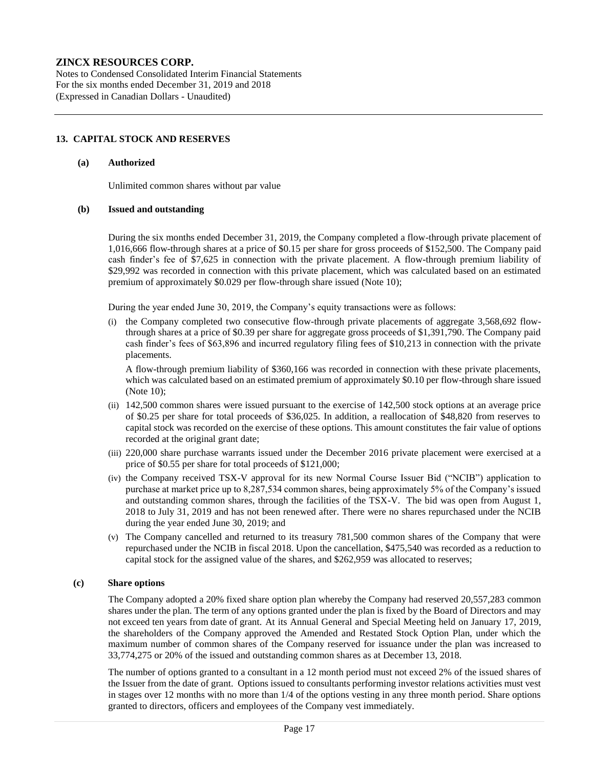Notes to Condensed Consolidated Interim Financial Statements For the six months ended December 31, 2019 and 2018 (Expressed in Canadian Dollars - Unaudited)

### **13. CAPITAL STOCK AND RESERVES**

#### **(a) Authorized**

Unlimited common shares without par value

#### **(b) Issued and outstanding**

During the six months ended December 31, 2019, the Company completed a flow-through private placement of 1,016,666 flow-through shares at a price of \$0.15 per share for gross proceeds of \$152,500. The Company paid cash finder's fee of \$7,625 in connection with the private placement. A flow-through premium liability of \$29,992 was recorded in connection with this private placement, which was calculated based on an estimated premium of approximately \$0.029 per flow-through share issued (Note 10);

During the year ended June 30, 2019, the Company's equity transactions were as follows:

(i) the Company completed two consecutive flow-through private placements of aggregate 3,568,692 flowthrough shares at a price of \$0.39 per share for aggregate gross proceeds of \$1,391,790. The Company paid cash finder's fees of \$63,896 and incurred regulatory filing fees of \$10,213 in connection with the private placements.

A flow-through premium liability of \$360,166 was recorded in connection with these private placements, which was calculated based on an estimated premium of approximately \$0.10 per flow-through share issued (Note 10);

- (ii) 142,500 common shares were issued pursuant to the exercise of 142,500 stock options at an average price of \$0.25 per share for total proceeds of \$36,025. In addition, a reallocation of \$48,820 from reserves to capital stock was recorded on the exercise of these options. This amount constitutes the fair value of options recorded at the original grant date;
- (iii) 220,000 share purchase warrants issued under the December 2016 private placement were exercised at a price of \$0.55 per share for total proceeds of \$121,000;
- (iv) the Company received TSX-V approval for its new Normal Course Issuer Bid ("NCIB") application to purchase at market price up to 8,287,534 common shares, being approximately 5% of the Company's issued and outstanding common shares, through the facilities of the TSX-V. The bid was open from August 1, 2018 to July 31, 2019 and has not been renewed after. There were no shares repurchased under the NCIB during the year ended June 30, 2019; and
- (v) The Company cancelled and returned to its treasury 781,500 common shares of the Company that were repurchased under the NCIB in fiscal 2018. Upon the cancellation, \$475,540 was recorded as a reduction to capital stock for the assigned value of the shares, and \$262,959 was allocated to reserves;

#### **(c) Share options**

The Company adopted a 20% fixed share option plan whereby the Company had reserved 20,557,283 common shares under the plan. The term of any options granted under the plan is fixed by the Board of Directors and may not exceed ten years from date of grant. At its Annual General and Special Meeting held on January 17, 2019, the shareholders of the Company approved the Amended and Restated Stock Option Plan, under which the maximum number of common shares of the Company reserved for issuance under the plan was increased to 33,774,275 or 20% of the issued and outstanding common shares as at December 13, 2018.

The number of options granted to a consultant in a 12 month period must not exceed 2% of the issued shares of the Issuer from the date of grant. Options issued to consultants performing investor relations activities must vest in stages over 12 months with no more than 1/4 of the options vesting in any three month period. Share options granted to directors, officers and employees of the Company vest immediately.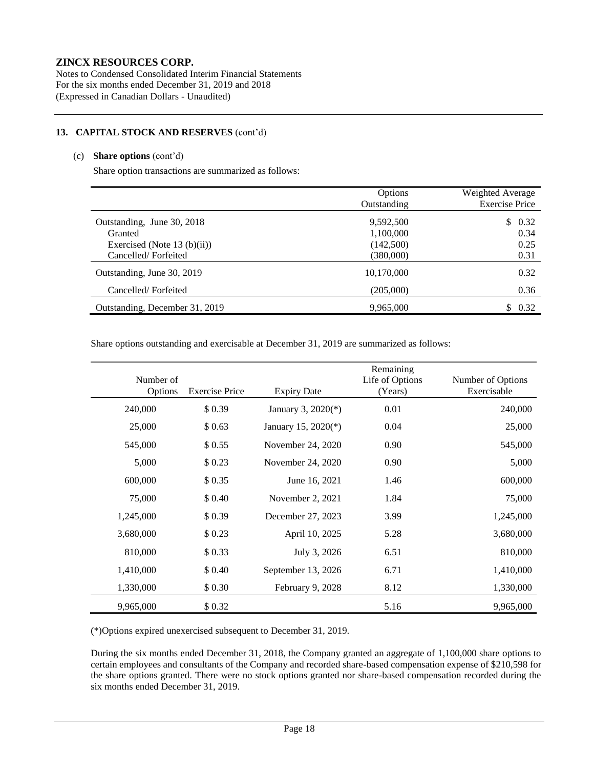Notes to Condensed Consolidated Interim Financial Statements For the six months ended December 31, 2019 and 2018 (Expressed in Canadian Dollars - Unaudited)

#### **13. CAPITAL STOCK AND RESERVES** (cont'd)

### (c) **Share options** (cont'd)

Share option transactions are summarized as follows:

|                                | Options     | Weighted Average      |
|--------------------------------|-------------|-----------------------|
|                                | Outstanding | <b>Exercise Price</b> |
| Outstanding, June 30, 2018     | 9,592,500   | \$0.32                |
| Granted                        | 1,100,000   | 0.34                  |
| Exercised (Note 13 (b)(ii))    | (142,500)   | 0.25                  |
| Cancelled/Forfeited            | (380,000)   | 0.31                  |
| Outstanding, June 30, 2019     | 10,170,000  | 0.32                  |
| Cancelled/Forfeited            | (205,000)   | 0.36                  |
| Outstanding, December 31, 2019 | 9,965,000   | 0.32<br>S             |

Share options outstanding and exercisable at December 31, 2019 are summarized as follows:

| Number of |                       |                     | Remaining<br>Life of Options | Number of Options |
|-----------|-----------------------|---------------------|------------------------------|-------------------|
| Options   | <b>Exercise Price</b> | <b>Expiry Date</b>  | (Years)                      | Exercisable       |
| 240,000   | \$0.39                | January 3, 2020(*)  | 0.01                         | 240,000           |
| 25,000    | \$0.63                | January 15, 2020(*) | 0.04                         | 25,000            |
| 545,000   | \$0.55                | November 24, 2020   | 0.90                         | 545,000           |
| 5,000     | \$0.23                | November 24, 2020   | 0.90                         | 5,000             |
| 600,000   | \$0.35                | June 16, 2021       | 1.46                         | 600,000           |
| 75,000    | \$ 0.40               | November 2, 2021    | 1.84                         | 75,000            |
| 1,245,000 | \$0.39                | December 27, 2023   | 3.99                         | 1,245,000         |
| 3,680,000 | \$0.23                | April 10, 2025      | 5.28                         | 3,680,000         |
| 810,000   | \$0.33                | July 3, 2026        | 6.51                         | 810,000           |
| 1,410,000 | \$ 0.40               | September 13, 2026  | 6.71                         | 1,410,000         |
| 1,330,000 | \$ 0.30               | February 9, 2028    | 8.12                         | 1,330,000         |
| 9,965,000 | \$0.32                |                     | 5.16                         | 9,965,000         |

(\*)Options expired unexercised subsequent to December 31, 2019.

During the six months ended December 31, 2018, the Company granted an aggregate of 1,100,000 share options to certain employees and consultants of the Company and recorded share-based compensation expense of \$210,598 for the share options granted. There were no stock options granted nor share-based compensation recorded during the six months ended December 31, 2019.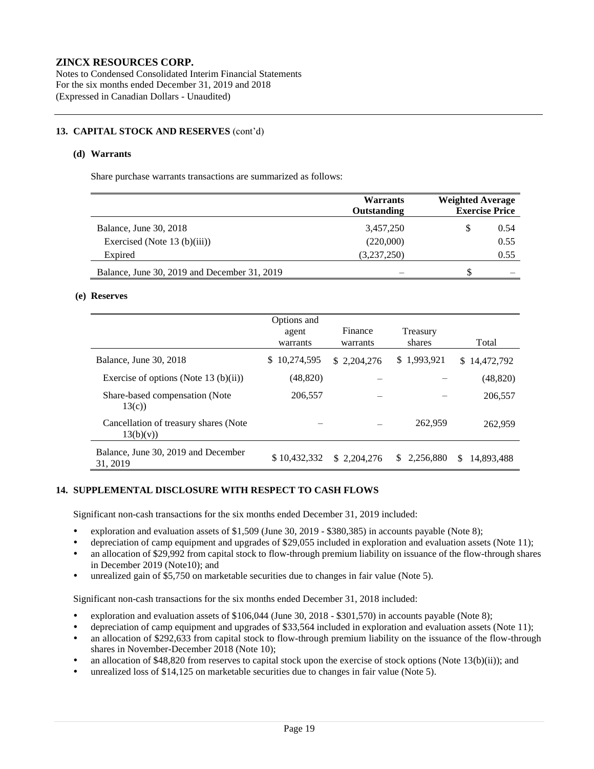Notes to Condensed Consolidated Interim Financial Statements For the six months ended December 31, 2019 and 2018 (Expressed in Canadian Dollars - Unaudited)

### **13. CAPITAL STOCK AND RESERVES** (cont'd)

#### **(d) Warrants**

Share purchase warrants transactions are summarized as follows:

|                                              | <b>Warrants</b><br>Outstanding |   | <b>Weighted Average</b><br><b>Exercise Price</b> |  |
|----------------------------------------------|--------------------------------|---|--------------------------------------------------|--|
| <b>Balance, June 30, 2018</b>                | 3,457,250                      | S | 0.54                                             |  |
| Exercised (Note $13$ (b)(iii))               | (220,000)                      |   | 0.55                                             |  |
| Expired                                      | (3,237,250)                    |   | 0.55                                             |  |
| Balance, June 30, 2019 and December 31, 2019 |                                | S |                                                  |  |

#### **(e) Reserves**

|                                                    | Options and<br>agent<br>warrants | Finance<br>warrants | Treasury<br>shares | Total             |
|----------------------------------------------------|----------------------------------|---------------------|--------------------|-------------------|
| Balance, June 30, 2018                             | 10,274,595<br>S.                 | \$2.204.276         | \$1,993,921        | \$14,472,792      |
| Exercise of options (Note 13 $(b)(ii)$ )           | (48, 820)                        |                     |                    | (48, 820)         |
| Share-based compensation (Note)<br>13(c)           | 206,557                          |                     |                    | 206,557           |
| Cancellation of treasury shares (Note<br>13(b)(v)) |                                  |                     | 262,959            | 262,959           |
| Balance, June 30, 2019 and December<br>31, 2019    | \$10.432,332                     | \$ 2,204,276        | 2.256.880<br>S.    | 14.893.488<br>\$. |

#### **14. SUPPLEMENTAL DISCLOSURE WITH RESPECT TO CASH FLOWS**

Significant non-cash transactions for the six months ended December 31, 2019 included:

- exploration and evaluation assets of \$1,509 (June 30, 2019 \$380,385) in accounts payable (Note 8);
- depreciation of camp equipment and upgrades of \$29,055 included in exploration and evaluation assets (Note 11);
- an allocation of \$29,992 from capital stock to flow-through premium liability on issuance of the flow-through shares in December 2019 (Note10); and
- unrealized gain of \$5,750 on marketable securities due to changes in fair value (Note 5).

Significant non-cash transactions for the six months ended December 31, 2018 included:

- exploration and evaluation assets of \$106,044 (June 30, 2018 \$301,570) in accounts payable (Note 8);
- depreciation of camp equipment and upgrades of \$33,564 included in exploration and evaluation assets (Note 11);
- an allocation of \$292,633 from capital stock to flow-through premium liability on the issuance of the flow-through shares in November-December 2018 (Note 10);
- an allocation of \$48,820 from reserves to capital stock upon the exercise of stock options (Note 13(b)(ii)); and
- unrealized loss of \$14,125 on marketable securities due to changes in fair value (Note 5).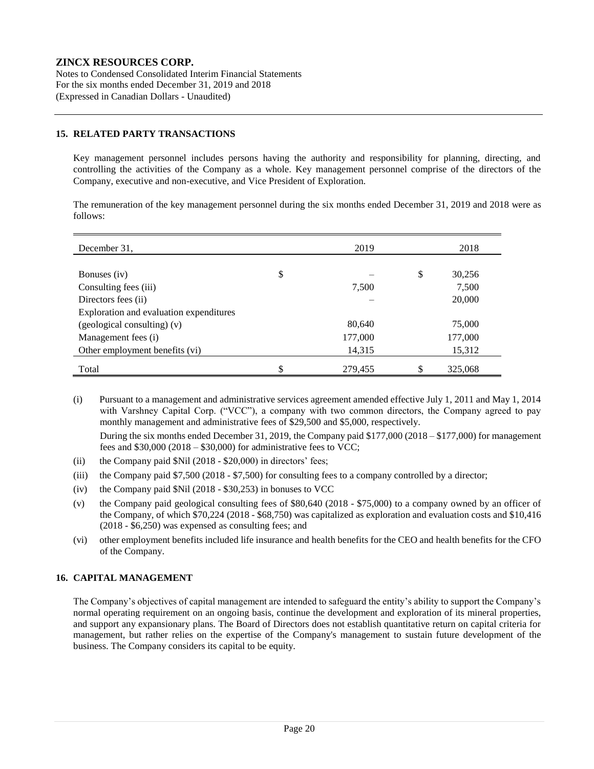Notes to Condensed Consolidated Interim Financial Statements For the six months ended December 31, 2019 and 2018 (Expressed in Canadian Dollars - Unaudited)

### **15. RELATED PARTY TRANSACTIONS**

Key management personnel includes persons having the authority and responsibility for planning, directing, and controlling the activities of the Company as a whole. Key management personnel comprise of the directors of the Company, executive and non-executive, and Vice President of Exploration.

The remuneration of the key management personnel during the six months ended December 31, 2019 and 2018 were as follows:

| December 31,                            | 2019          | 2018          |
|-----------------------------------------|---------------|---------------|
|                                         |               |               |
| Bonuses (iv)                            | \$            | \$<br>30,256  |
| Consulting fees (iii)                   | 7,500         | 7,500         |
| Directors fees (ii)                     |               | 20,000        |
| Exploration and evaluation expenditures |               |               |
| $(geological$ consulting) $(v)$         | 80,640        | 75,000        |
| Management fees (i)                     | 177,000       | 177,000       |
| Other employment benefits (vi)          | 14,315        | 15,312        |
| Total                                   | \$<br>279,455 | \$<br>325,068 |

(i) Pursuant to a management and administrative services agreement amended effective July 1, 2011 and May 1, 2014 with Varshney Capital Corp. ("VCC"), a company with two common directors, the Company agreed to pay monthly management and administrative fees of \$29,500 and \$5,000, respectively.

During the six months ended December 31, 2019, the Company paid \$177,000 (2018 – \$177,000) for management fees and  $$30,000 (2018 - $30,000)$  for administrative fees to VCC;

- (ii) the Company paid \$Nil (2018 \$20,000) in directors' fees;
- (iii) the Company paid \$7,500 (2018 \$7,500) for consulting fees to a company controlled by a director;
- (iv) the Company paid \$Nil (2018 \$30,253) in bonuses to VCC
- (v) the Company paid geological consulting fees of \$80,640 (2018 \$75,000) to a company owned by an officer of the Company, of which \$70,224 (2018 - \$68,750) was capitalized as exploration and evaluation costs and \$10,416 (2018 - \$6,250) was expensed as consulting fees; and
- (vi) other employment benefits included life insurance and health benefits for the CEO and health benefits for the CFO of the Company.

# **16. CAPITAL MANAGEMENT**

The Company's objectives of capital management are intended to safeguard the entity's ability to support the Company's normal operating requirement on an ongoing basis, continue the development and exploration of its mineral properties, and support any expansionary plans. The Board of Directors does not establish quantitative return on capital criteria for management, but rather relies on the expertise of the Company's management to sustain future development of the business. The Company considers its capital to be equity.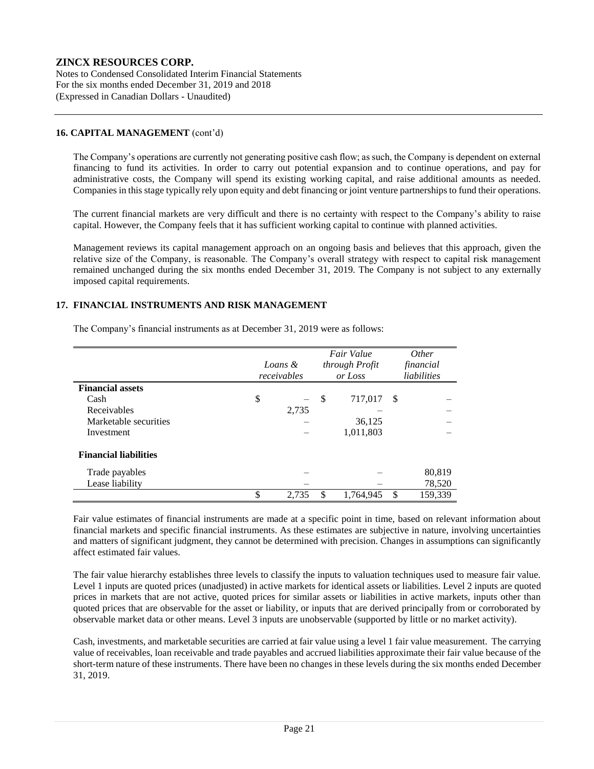Notes to Condensed Consolidated Interim Financial Statements For the six months ended December 31, 2019 and 2018 (Expressed in Canadian Dollars - Unaudited)

### **16. CAPITAL MANAGEMENT** (cont'd)

The Company's operations are currently not generating positive cash flow; as such, the Company is dependent on external financing to fund its activities. In order to carry out potential expansion and to continue operations, and pay for administrative costs, the Company will spend its existing working capital, and raise additional amounts as needed. Companies in this stage typically rely upon equity and debt financing or joint venture partnerships to fund their operations.

The current financial markets are very difficult and there is no certainty with respect to the Company's ability to raise capital. However, the Company feels that it has sufficient working capital to continue with planned activities.

Management reviews its capital management approach on an ongoing basis and believes that this approach, given the relative size of the Company, is reasonable. The Company's overall strategy with respect to capital risk management remained unchanged during the six months ended December 31, 2019. The Company is not subject to any externally imposed capital requirements.

### **17. FINANCIAL INSTRUMENTS AND RISK MANAGEMENT**

The Company's financial instruments as at December 31, 2019 were as follows:

|                              | Loans &<br>receivables |    | Fair Value<br>through Profit<br>or Loss |     | <i>Other</i><br>financial<br>liabilities |
|------------------------------|------------------------|----|-----------------------------------------|-----|------------------------------------------|
| <b>Financial assets</b>      |                        |    |                                         |     |                                          |
| Cash                         | \$                     | \$ | 717,017                                 | -\$ |                                          |
| Receivables                  | 2,735                  |    |                                         |     |                                          |
| Marketable securities        |                        |    | 36,125                                  |     |                                          |
| Investment                   |                        |    | 1,011,803                               |     |                                          |
| <b>Financial liabilities</b> |                        |    |                                         |     |                                          |
| Trade payables               |                        |    |                                         |     | 80,819                                   |
| Lease liability              |                        |    |                                         |     | 78,520                                   |
|                              | \$<br>2,735            | \$ | 1,764,945                               | \$  | 159,339                                  |

Fair value estimates of financial instruments are made at a specific point in time, based on relevant information about financial markets and specific financial instruments. As these estimates are subjective in nature, involving uncertainties and matters of significant judgment, they cannot be determined with precision. Changes in assumptions can significantly affect estimated fair values.

The fair value hierarchy establishes three levels to classify the inputs to valuation techniques used to measure fair value. Level 1 inputs are quoted prices (unadjusted) in active markets for identical assets or liabilities. Level 2 inputs are quoted prices in markets that are not active, quoted prices for similar assets or liabilities in active markets, inputs other than quoted prices that are observable for the asset or liability, or inputs that are derived principally from or corroborated by observable market data or other means. Level 3 inputs are unobservable (supported by little or no market activity).

Cash, investments, and marketable securities are carried at fair value using a level 1 fair value measurement. The carrying value of receivables, loan receivable and trade payables and accrued liabilities approximate their fair value because of the short-term nature of these instruments. There have been no changes in these levels during the six months ended December 31, 2019.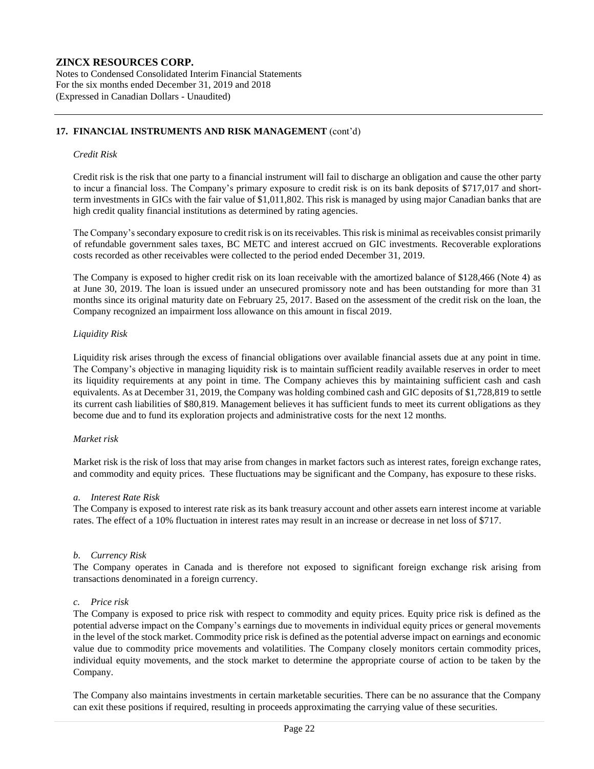Notes to Condensed Consolidated Interim Financial Statements For the six months ended December 31, 2019 and 2018 (Expressed in Canadian Dollars - Unaudited)

# **17. FINANCIAL INSTRUMENTS AND RISK MANAGEMENT** (cont'd)

#### *Credit Risk*

Credit risk is the risk that one party to a financial instrument will fail to discharge an obligation and cause the other party to incur a financial loss. The Company's primary exposure to credit risk is on its bank deposits of \$717,017 and shortterm investments in GICs with the fair value of \$1,011,802. This risk is managed by using major Canadian banks that are high credit quality financial institutions as determined by rating agencies.

The Company's secondary exposure to credit risk is on its receivables. This risk is minimal as receivables consist primarily of refundable government sales taxes, BC METC and interest accrued on GIC investments. Recoverable explorations costs recorded as other receivables were collected to the period ended December 31, 2019.

The Company is exposed to higher credit risk on its loan receivable with the amortized balance of \$128,466 (Note 4) as at June 30, 2019. The loan is issued under an unsecured promissory note and has been outstanding for more than 31 months since its original maturity date on February 25, 2017. Based on the assessment of the credit risk on the loan, the Company recognized an impairment loss allowance on this amount in fiscal 2019.

#### *Liquidity Risk*

Liquidity risk arises through the excess of financial obligations over available financial assets due at any point in time. The Company's objective in managing liquidity risk is to maintain sufficient readily available reserves in order to meet its liquidity requirements at any point in time. The Company achieves this by maintaining sufficient cash and cash equivalents. As at December 31, 2019, the Company was holding combined cash and GIC deposits of \$1,728,819 to settle its current cash liabilities of \$80,819. Management believes it has sufficient funds to meet its current obligations as they become due and to fund its exploration projects and administrative costs for the next 12 months.

#### *Market risk*

Market risk is the risk of loss that may arise from changes in market factors such as interest rates, foreign exchange rates, and commodity and equity prices. These fluctuations may be significant and the Company, has exposure to these risks.

#### *a. Interest Rate Risk*

The Company is exposed to interest rate risk as its bank treasury account and other assets earn interest income at variable rates. The effect of a 10% fluctuation in interest rates may result in an increase or decrease in net loss of \$717.

#### *b. Currency Risk*

The Company operates in Canada and is therefore not exposed to significant foreign exchange risk arising from transactions denominated in a foreign currency.

#### *c. Price risk*

The Company is exposed to price risk with respect to commodity and equity prices. Equity price risk is defined as the potential adverse impact on the Company's earnings due to movements in individual equity prices or general movements in the level of the stock market. Commodity price risk is defined as the potential adverse impact on earnings and economic value due to commodity price movements and volatilities. The Company closely monitors certain commodity prices, individual equity movements, and the stock market to determine the appropriate course of action to be taken by the Company.

The Company also maintains investments in certain marketable securities. There can be no assurance that the Company can exit these positions if required, resulting in proceeds approximating the carrying value of these securities.